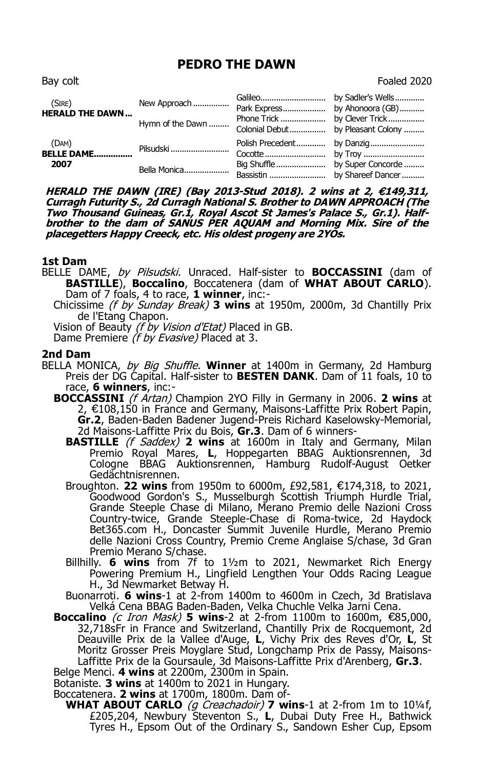# **PEDRO THE DAWN**

| (SIRE)<br><b>HERALD THE DAWN</b> | New Approach     | Park Express by Ahonoora (GB)     |                            |
|----------------------------------|------------------|-----------------------------------|----------------------------|
|                                  | Hymn of the Dawn | Colonial Debut by Pleasant Colony |                            |
| (DAM)<br><b>BELLE DAME</b>       | Pilsudski        |                                   | Polish Precedent by Danzig |
| 2007                             | Bella Monica     |                                   |                            |

**HERALD THE DAWN (IRE) (Bay 2013-Stud 2018). 2 wins at 2, €149,311, Curragh Futurity S., 2d Curragh National S. Brother to DAWN APPROACH (The Two Thousand Guineas, Gr.1, Royal Ascot St James's Palace S., Gr.1). Halfbrother to the dam of SANUS PER AQUAM and Morning Mix. Sire of the placegetters Happy Creeck, etc. His oldest progeny are 2YOs.**

## **1st Dam**

- BELLE DAME, by Pilsudski. Unraced. Half-sister to **BOCCASSINI** (dam of **BASTILLE**), **Boccalino**, Boccatenera (dam of **WHAT ABOUT CARLO**). Dam of 7 foals, 4 to race, **1 winner**, inc:-
	- Chicissime (f by Sunday Break) **3 wins** at 1950m, 2000m, 3d Chantilly Prix de l'Etang Chapon.

Vision of Beauty (f by Vision d'Etat) Placed in GB.

Dame Premiere (f by Evasive) Placed at 3.

## **2nd Dam**

- BELLA MONICA, by Big Shuffle. **Winner** at 1400m in Germany, 2d Hamburg Preis der DG Capital. Half-sister to **BESTEN DANK**. Dam of 11 foals, 10 to race, **6 winners**, inc:-
	- **BOCCASSINI** (f Artan) Champion 2YO Filly in Germany in 2006. **2 wins** at 2, €108,150 in France and Germany, Maisons-Laffitte Prix Robert Papin, **Gr.2**, Baden-Baden Badener Jugend-Preis Richard Kaselowsky-Memorial, 2d Maisons-Laffitte Prix du Bois, **Gr.3**. Dam of 6 winners-
		- **BASTILLE** (f Saddex) 2 wins at 1600m in Italy and Germany, Milan Premio Royal Mares, **L**, Hoppegarten BBAG Auktionsrennen, 3d Cologne BBAG Auktionsrennen, Hamburg Rudolf-August Oetker Gedächtnisrennen.
		- Broughton. **22 wins** from 1950m to 6000m, £92,581, €174,318, to 2021, Goodwood Gordon's S., Musselburgh Scottish Triumph Hurdle Trial, Grande Steeple Chase di Milano, Merano Premio delle Nazioni Cross Country-twice, Grande Steeple-Chase di Roma-twice, 2d Haydock Bet365.com H., Doncaster Summit Juvenile Hurdle, Merano Premio delle Nazioni Cross Country, Premio Creme Anglaise S/chase, 3d Gran Premio Merano S/chase.
		- Billhilly. **6 wins** from 7f to 1½m to 2021, Newmarket Rich Energy Powering Premium H., Lingfield Lengthen Your Odds Racing League H., 3d Newmarket Betway H.
		- Buonarroti. **6 wins**-1 at 2-from 1400m to 4600m in Czech, 3d Bratislava Velká Cena BBAG Baden-Baden, Velka Chuchle Velka Jarni Cena.
	- **Boccalino** (c Iron Mask) **5 wins**-2 at 2-from 1100m to 1600m, €85,000, 32,718sFr in France and Switzerland, Chantilly Prix de Rocquemont, 2d Deauville Prix de la Vallee d'Auge, **L**, Vichy Prix des Reves d'Or, **L**, St Moritz Grosser Preis Moyglare Stud, Longchamp Prix de Passy, Maisons-Laffitte Prix de la Goursaule, 3d Maisons-Laffitte Prix d'Arenberg, **Gr.3**.

Belge Menci. **4 wins** at 2200m, 2300m in Spain.

Botaniste. **3 wins** at 1400m to 2021 in Hungary.

Boccatenera. **2 wins** at 1700m, 1800m. Dam of-

**WHAT ABOUT CARLO** (g Creachadoir) **7 wins**-1 at 2-from 1m to 10¼f, £205,204, Newbury Steventon S., **L**, Dubai Duty Free H., Bathwick Tyres H., Epsom Out of the Ordinary S., Sandown Esher Cup, Epsom

Bay colt **Foaled** 2020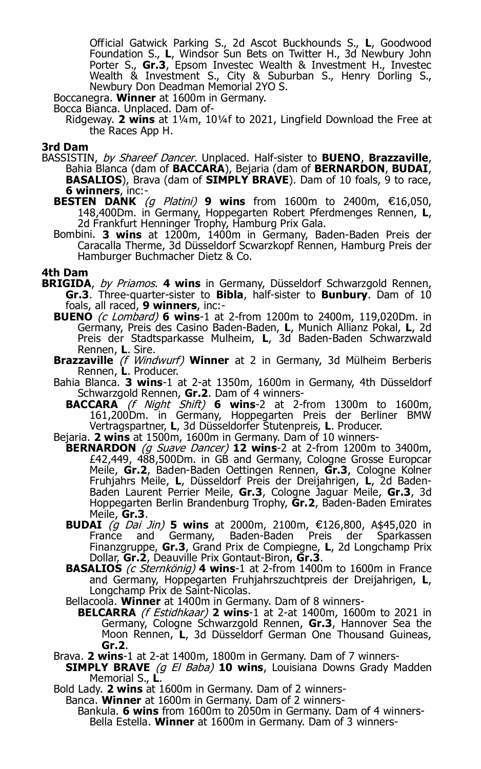Official Gatwick Parking S., 2d Ascot Buckhounds S., **L**, Goodwood Foundation S., **L**, Windsor Sun Bets on Twitter H., 3d Newbury John Porter S., **Gr.3**, Epsom Investec Wealth & Investment H., Investec Wealth & Investment S., City & Suburban S., Henry Dorling S., Newbury Don Deadman Memorial 2YO S.

Boccanegra. **Winner** at 1600m in Germany.

Bocca Bianca. Unplaced. Dam of-

Ridgeway. **2 wins** at 1¼m, 10¼f to 2021, Lingfield Download the Free at the Races App H.

### **3rd Dam**

- BASSISTIN, by Shareef Dancer. Unplaced. Half-sister to **BUENO**, **Brazzaville**, Bahia Blanca (dam of **BACCARA**), Bejaria (dam of **BERNARDON**, **BUDAI**, **BASALIOS**), Brava (dam of **SIMPLY BRAVE**). Dam of 10 foals, 9 to race, **6 winners**, inc:-
	- **BESTEN DANK** (g Platini) **9 wins** from 1600m to 2400m, €16,050, 148,400Dm. in Germany, Hoppegarten Robert Pferdmenges Rennen, **L**, 2d Frankfurt Henninger Trophy, Hamburg Prix Gala.
	- Bombini. **3 wins** at 1200m, 1400m in Germany, Baden-Baden Preis der Caracalla Therme, 3d Düsseldorf Scwarzkopf Rennen, Hamburg Preis der Hamburger Buchmacher Dietz & Co.

## **4th Dam**

- **BRIGIDA**, by Priamos. **4 wins** in Germany, Düsseldorf Schwarzgold Rennen, **Gr.3**. Three-quarter-sister to **Bibla**, half-sister to **Bunbury**. Dam of 10 foals, all raced, **9 winners**, inc:-
	- **BUENO** (c Lombard) **6 wins**-1 at 2-from 1200m to 2400m, 119,020Dm. in Germany, Preis des Casino Baden-Baden, **L**, Munich Allianz Pokal, **L**, 2d Preis der Stadtsparkasse Mulheim, **L**, 3d Baden-Baden Schwarzwald Rennen, **L**. Sire.
	- **Brazzaville** (f Windwurf) **Winner** at 2 in Germany, 3d Mülheim Berberis Rennen, **L**. Producer.
	- Bahia Blanca. **3 wins**-1 at 2-at 1350m, 1600m in Germany, 4th Düsseldorf Schwarzgold Rennen, **Gr.2**. Dam of 4 winners-
		- **BACCARA** (f Night Shift) **6 wins**-2 at 2-from 1300m to 1600m, 161,200Dm. in Germany, Hoppegarten Preis der Berliner BMW Vertragspartner, **L**, 3d Düsseldorfer Stutenpreis, **L**. Producer.
	- Bejaria. **2 wins** at 1500m, 1600m in Germany. Dam of 10 winners-
		- **BERNARDON** (g Suave Dancer) **12 wins**-2 at 2-from 1200m to 3400m, £42,449, 488,500Dm. in GB and Germany, Cologne Grosse Europcar Meile, Gr.2, Baden-Baden Oettingen Rennen, Gr.3, Cologne Kolner Fruhjahrs Meile, **L**, Düsseldorf Preis der Dreijahrigen, **L**, 2d Baden-Baden Laurent Perrier Meile, **Gr.3**, Cologne Jaguar Meile, **Gr.3**, 3d Hoppegarten Berlin Brandenburg Trophy, **Gr.2**, Baden-Baden Emirates Meile, **Gr.3**.
			- **BUDAI** (g Dai Jin) **5 wins** at 2000m, 2100m, €126,800, A\$45,020 in France and Germany, Baden-Baden Preis der Sparkassen Finanzgruppe, **Gr.3**, Grand Prix de Compiegne, **L**, 2d Longchamp Prix Dollar, **Gr.2**, Deauville Prix Gontaut-Biron, **Gr.3**.
			- **BASALIOS** (c Sternkönig) 4 wins-1 at 2-from 1400m to 1600m in France and Germany, Hoppegarten Fruhjahrszuchtpreis der Dreijahrigen, **L**, Longchamp Prix de Saint-Nicolas.
			- Bellacoola. **Winner** at 1400m in Germany. Dam of 8 winners-
			- **BELCARRA** (f Estidhkaar) **2 wins**-1 at 2-at 1400m, 1600m to 2021 in Germany, Cologne Schwarzgold Rennen, **Gr.3**, Hannover Sea the Moon Rennen, **L**, 3d Düsseldorf German One Thousand Guineas, **Gr.2**.
	- Brava. **2 wins**-1 at 2-at 1400m, 1800m in Germany. Dam of 7 winners-
	- **SIMPLY BRAVE** (g El Baba) 10 wins, Louisiana Downs Grady Madden Memorial S., **L**.

Bold Lady. **2 wins** at 1600m in Germany. Dam of 2 winners-

- Banca. **Winner** at 1600m in Germany. Dam of 2 winners-
	- Bankula. **6 wins** from 1600m to 2050m in Germany. Dam of 4 winners-Bella Estella. **Winner** at 1600m in Germany. Dam of 3 winners-